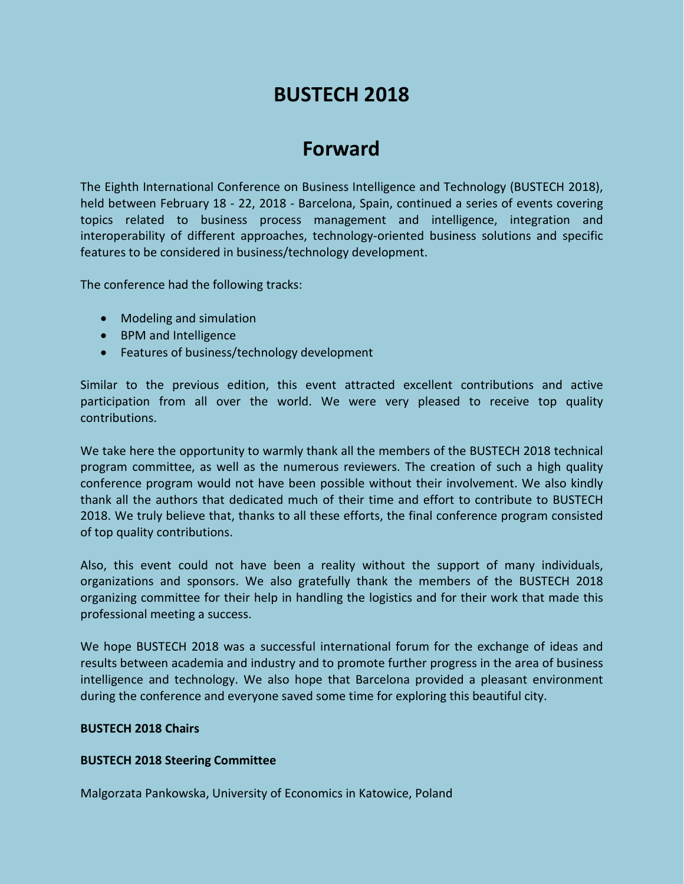# **BUSTECH 2018**

# **Forward**

The Eighth International Conference on Business Intelligence and Technology (BUSTECH 2018), held between February 18 - 22, 2018 - Barcelona, Spain, continued a series of events covering topics related to business process management and intelligence, integration and interoperability of different approaches, technology-oriented business solutions and specific features to be considered in business/technology development.

The conference had the following tracks:

- Modeling and simulation
- BPM and Intelligence
- Features of business/technology development

Similar to the previous edition, this event attracted excellent contributions and active participation from all over the world. We were very pleased to receive top quality contributions.

We take here the opportunity to warmly thank all the members of the BUSTECH 2018 technical program committee, as well as the numerous reviewers. The creation of such a high quality conference program would not have been possible without their involvement. We also kindly thank all the authors that dedicated much of their time and effort to contribute to BUSTECH 2018. We truly believe that, thanks to all these efforts, the final conference program consisted of top quality contributions.

Also, this event could not have been a reality without the support of many individuals, organizations and sponsors. We also gratefully thank the members of the BUSTECH 2018 organizing committee for their help in handling the logistics and for their work that made this professional meeting a success.

We hope BUSTECH 2018 was a successful international forum for the exchange of ideas and results between academia and industry and to promote further progress in the area of business intelligence and technology. We also hope that Barcelona provided a pleasant environment during the conference and everyone saved some time for exploring this beautiful city.

#### **BUSTECH 2018 Chairs**

### **BUSTECH 2018 Steering Committee**

Malgorzata Pankowska, University of Economics in Katowice, Poland